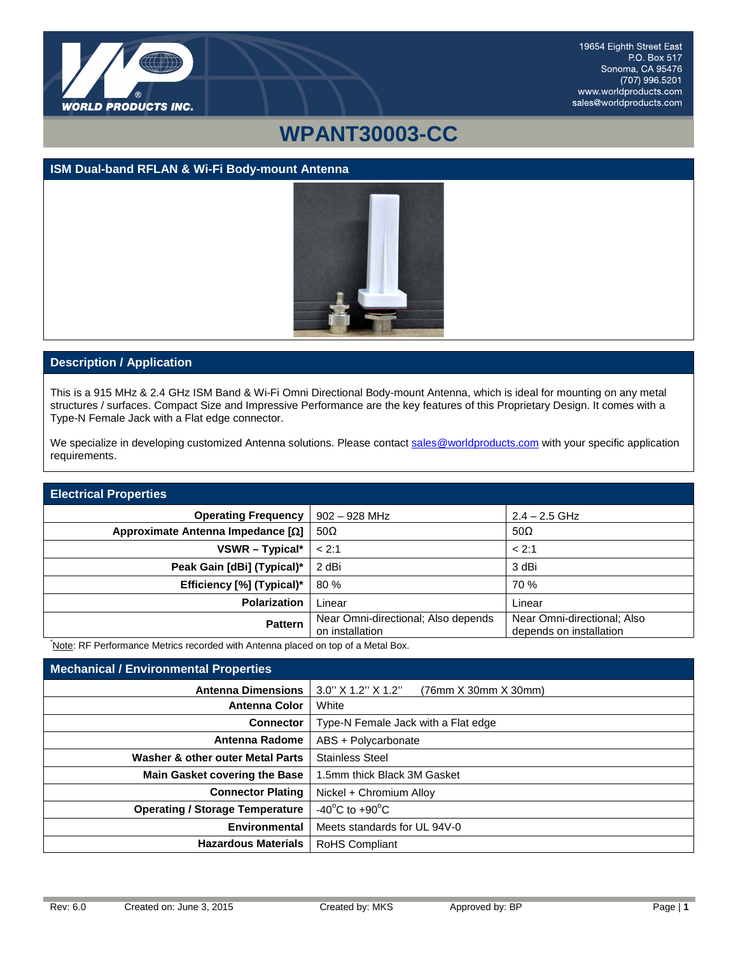

19654 Eighth Street East P.O. Box 517 Sonoma, CA 95476 (707) 996.5201 www.worldproducts.com sales@worldproducts.com

## **WPANT30003-CC**

**ISM Dual-band RFLAN & Wi-Fi Body-mount Antenna**

## **Description / Application**

This is a 915 MHz & 2.4 GHz ISM Band & Wi-Fi Omni Directional Body-mount Antenna, which is ideal for mounting on any metal structures / surfaces. Compact Size and Impressive Performance are the key features of this Proprietary Design. It comes with a Type-N Female Jack with a Flat edge connector.

We specialize in developing customized Antenna solutions. Please contac[t sales@worldproducts.com](mailto:sales@worldproducts.com) with your specific application requirements.

| <b>Electrical Properties</b>      |                                                        |                                                        |
|-----------------------------------|--------------------------------------------------------|--------------------------------------------------------|
| <b>Operating Frequency</b>        | $902 - 928$ MHz                                        | $2.4 - 2.5$ GHz                                        |
| Approximate Antenna Impedance [Ω] | 50 $\Omega$                                            | 50 $\Omega$                                            |
| VSWR - Typical*                   | < 2:1                                                  | < 2:1                                                  |
| Peak Gain [dBi] (Typical)*        | 2 dBi                                                  | 3 dBi                                                  |
| Efficiency [%] (Typical)*         | 80 %                                                   | 70 %                                                   |
| <b>Polarization</b>               | Linear                                                 | Linear                                                 |
| <b>Pattern</b>                    | Near Omni-directional; Also depends<br>on installation | Near Omni-directional; Also<br>depends on installation |

Note: RF Performance Metrics recorded with Antenna placed on top of a Metal Box.

| <b>Mechanical / Environmental Properties</b> |                                               |  |
|----------------------------------------------|-----------------------------------------------|--|
| <b>Antenna Dimensions</b>                    | $3.0$ " X 1.2" X 1.2"<br>(76mm X 30mm X 30mm) |  |
| <b>Antenna Color</b>                         | White                                         |  |
| <b>Connector</b>                             | Type-N Female Jack with a Flat edge           |  |
| Antenna Radome                               | ABS + Polycarbonate                           |  |
| Washer & other outer Metal Parts             | <b>Stainless Steel</b>                        |  |
| <b>Main Gasket covering the Base</b>         | 1.5mm thick Black 3M Gasket                   |  |
| <b>Connector Plating</b>                     | Nickel + Chromium Alloy                       |  |
| <b>Operating / Storage Temperature</b>       | -40 $^{\circ}$ C to +90 $^{\circ}$ C          |  |
| Environmental                                | Meets standards for UL 94V-0                  |  |
| <b>Hazardous Materials</b>                   | RoHS Compliant                                |  |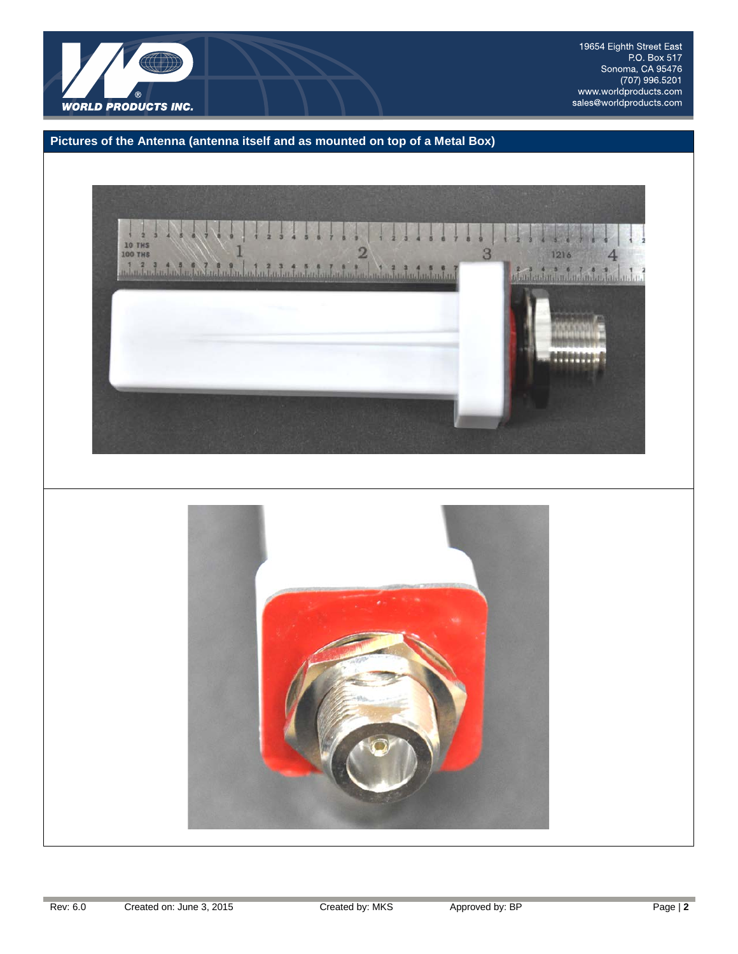

19654 Eighth Street East P.O. Box 517<br>Sonoma, CA 95476  $(707)$  996.5201 www.worldproducts.com sales@worldproducts.com

## **Pictures of the Antenna (antenna itself and as mounted on top of a Metal Box)**

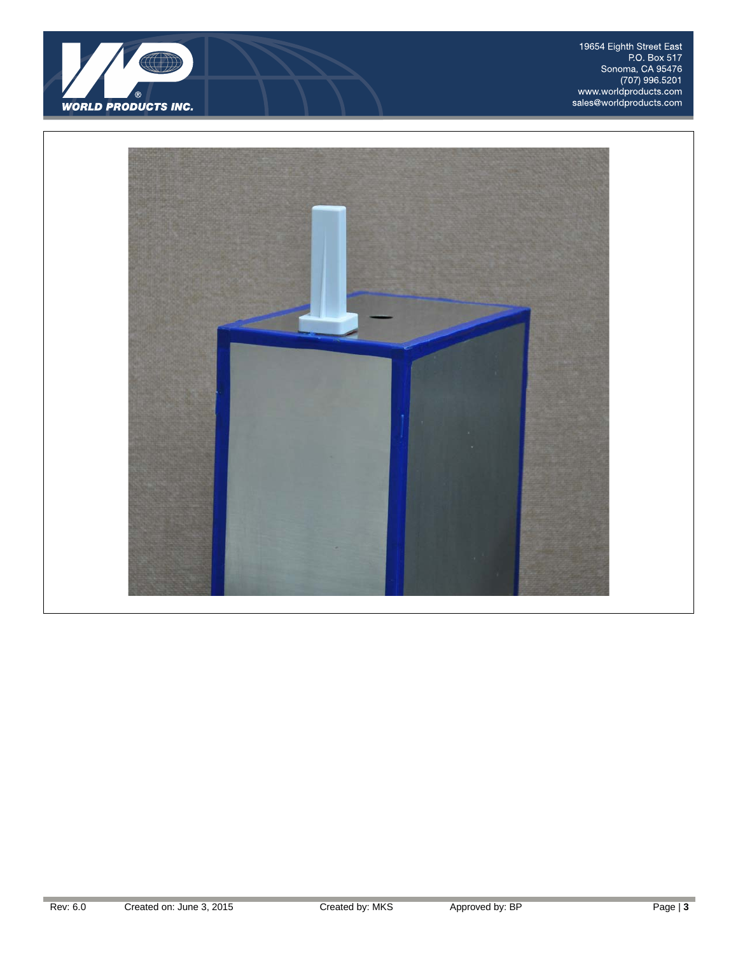